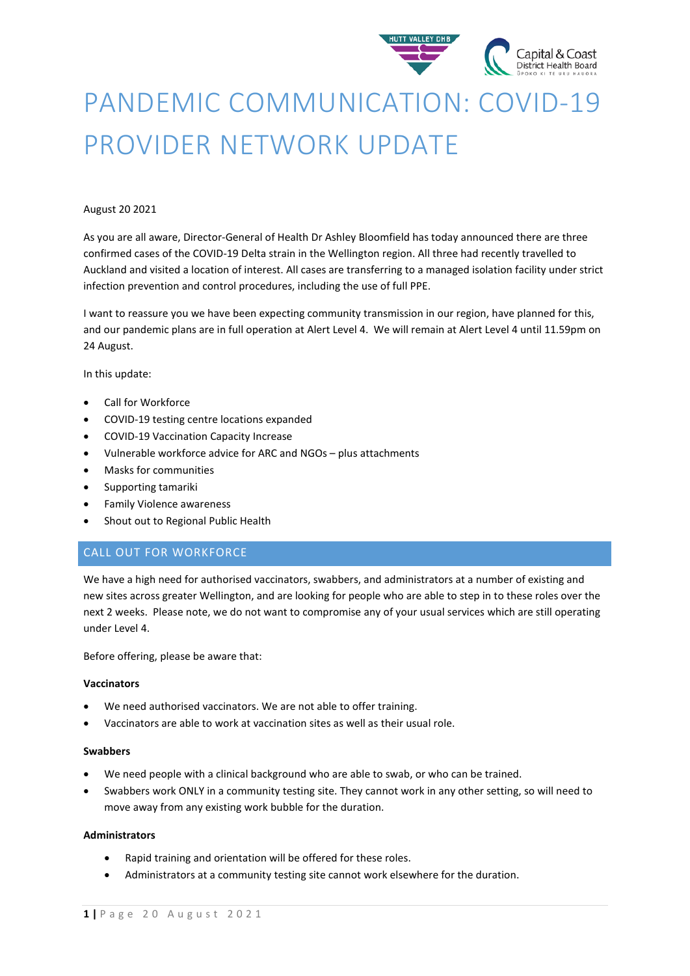

# PANDEMIC COMMUNICATION: COVID-19 PROVIDER NETWORK UPDATE

#### August 20 2021

As you are all aware, Director-General of Health Dr Ashley Bloomfield has today announced there are three confirmed cases of the COVID-19 Delta strain in the Wellington region. All three had recently travelled to Auckland and visited a location of interest. All cases are transferring to a managed isolation facility under strict infection prevention and control procedures, including the use of full PPE.

I want to reassure you we have been expecting community transmission in our region, have planned for this, and our pandemic plans are in full operation at Alert Level 4. We will remain at Alert Level 4 until 11.59pm on 24 August.

In this update:

- Call for Workforce
- COVID-19 testing centre locations expanded
- COVID-19 Vaccination Capacity Increase
- Vulnerable workforce advice for ARC and NGOs plus attachments
- Masks for communities
- Supporting tamariki
- Family Violence awareness
- Shout out to Regional Public Health

# CALL OUT FOR WORKFORCE

We have a high need for authorised vaccinators, swabbers, and administrators at a number of existing and new sites across greater Wellington, and are looking for people who are able to step in to these roles over the next 2 weeks. Please note, we do not want to compromise any of your usual services which are still operating under Level 4.

Before offering, please be aware that:

#### **Vaccinators**

- We need authorised vaccinators. We are not able to offer training.
- Vaccinators are able to work at vaccination sites as well as their usual role.

#### **Swabbers**

- We need people with a clinical background who are able to swab, or who can be trained.
- Swabbers work ONLY in a community testing site. They cannot work in any other setting, so will need to move away from any existing work bubble for the duration.

#### **Administrators**

- Rapid training and orientation will be offered for these roles.
- Administrators at a community testing site cannot work elsewhere for the duration.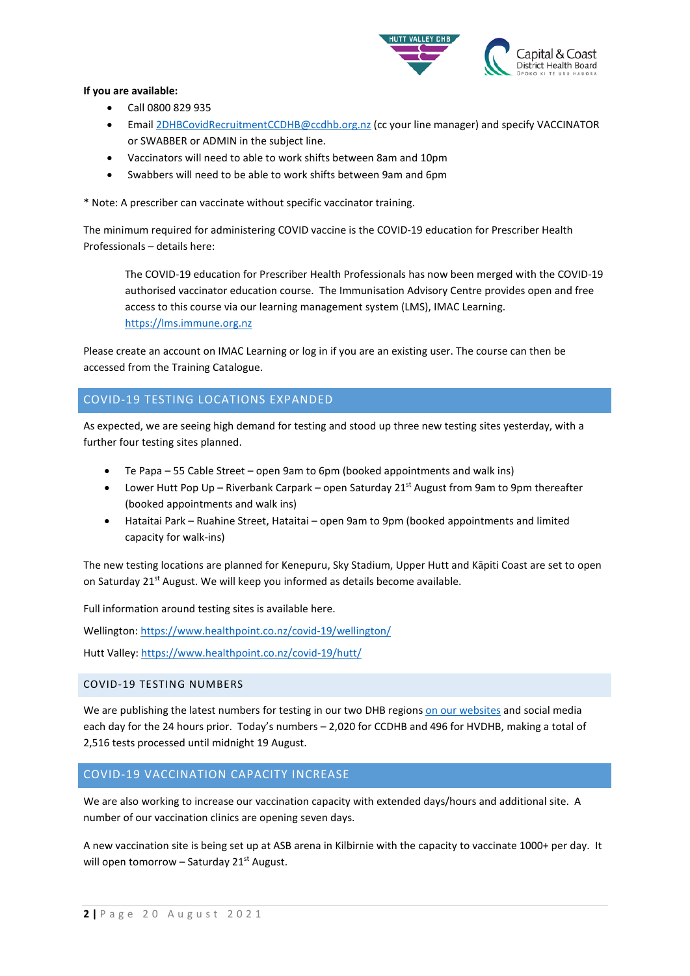

#### **If you are available:**

- Call 0800 829 935
- Email [2DHBCovidRecruitmentCCDHB@ccdhb.org.nz](mailto:2DHBCovidRecruitmentCCDHB@ccdhb.org.nz) (cc your line manager) and specify VACCINATOR or SWABBER or ADMIN in the subject line.
- Vaccinators will need to able to work shifts between 8am and 10pm
- Swabbers will need to be able to work shifts between 9am and 6pm

\* Note: A prescriber can vaccinate without specific vaccinator training.

The minimum required for administering COVID vaccine is the COVID-19 education for Prescriber Health Professionals – details here:

The COVID-19 education for Prescriber Health Professionals has now been merged with the COVID-19 authorised vaccinator education course. The Immunisation Advisory Centre provides open and free access to this course via our learning management system (LMS), IMAC Learning. [https://lms.immune.org.nz](https://urldefense.com/v3/__https:/aus01.safelinks.protection.outlook.com/?url=https*3A*2F*2Furldefense.com*2Fv3*2F__https*3A*2Flms.immune.org.nz__*3B!!A3teau8g8Q!C39b8QSUAqUJdRRpCMvoXd0v7w1FALDCOftOVNmUGl_RLtZbh95clhBEEQMM4f-WxGpB*24&data=04*7C01*7Clouise.poynton*40tuora.org.nz*7Cca9088ddac8048ccd97008d963972bbf*7C1d296a68adeb43608d91e8900a7fcdd8*7C0*7C0*7C637650323203213751*7CUnknown*7CTWFpbGZsb3d8eyJWIjoiMC4wLjAwMDAiLCJQIjoiV2luMzIiLCJBTiI6Ik1haWwiLCJXVCI6Mn0*3D*7C1000&sdata=TJL7x8MvOa1HpuzTaDQTSQmWJFJevRiBe7x75o8DCQk*3D&reserved=0__;JSUlJSUlJSUlJSUlJSUlJSUlJSUlJQ!!A3teau8g8Q!Am46xQt0OTDVBsLlOQpb8ASG3Vdp1pobOwWhd3CWHkiwky9Tgy1PubfeM95g1pSJQulS$)

Please create an account on IMAC Learning or log in if you are an existing user. The course can then be accessed from the Training Catalogue.

# COVID-19 TESTING LOCATIONS EXPANDED

As expected, we are seeing high demand for testing and stood up three new testing sites yesterday, with a further four testing sites planned.

- Te Papa 55 Cable Street open 9am to 6pm (booked appointments and walk ins)
- Lower Hutt Pop Up Riverbank Carpark open Saturday  $21^{st}$  August from 9am to 9pm thereafter (booked appointments and walk ins)
- Hataitai Park Ruahine Street, Hataitai open 9am to 9pm (booked appointments and limited capacity for walk-ins)

The new testing locations are planned for Kenepuru, Sky Stadium, Upper Hutt and Kāpiti Coast are set to open on Saturday 21<sup>st</sup> August. We will keep you informed as details become available.

Full information around testing sites is available here.

Wellington[: https://www.healthpoint.co.nz/covid-19/wellington/](https://www.healthpoint.co.nz/covid-19/wellington/)

Hutt Valley:<https://www.healthpoint.co.nz/covid-19/hutt/>

#### COVID-19 TESTING NUMBERS

We are publishing the latest numbers for testing in our two DHB region[s on our websites](https://www.ccdhb.org.nz/our-services/covid-19-community-based-assessment-centres-cbacs/covid-19-testing-numbers/) and social media each day for the 24 hours prior. Today's numbers – 2,020 for CCDHB and 496 for HVDHB, making a total of 2,516 tests processed until midnight 19 August.

## COVID-19 VACCINATION CAPACITY INCREASE

We are also working to increase our vaccination capacity with extended days/hours and additional site. A number of our vaccination clinics are opening seven days.

A new vaccination site is being set up at ASB arena in Kilbirnie with the capacity to vaccinate 1000+ per day. It will open tomorrow – Saturday 21 $st$  August.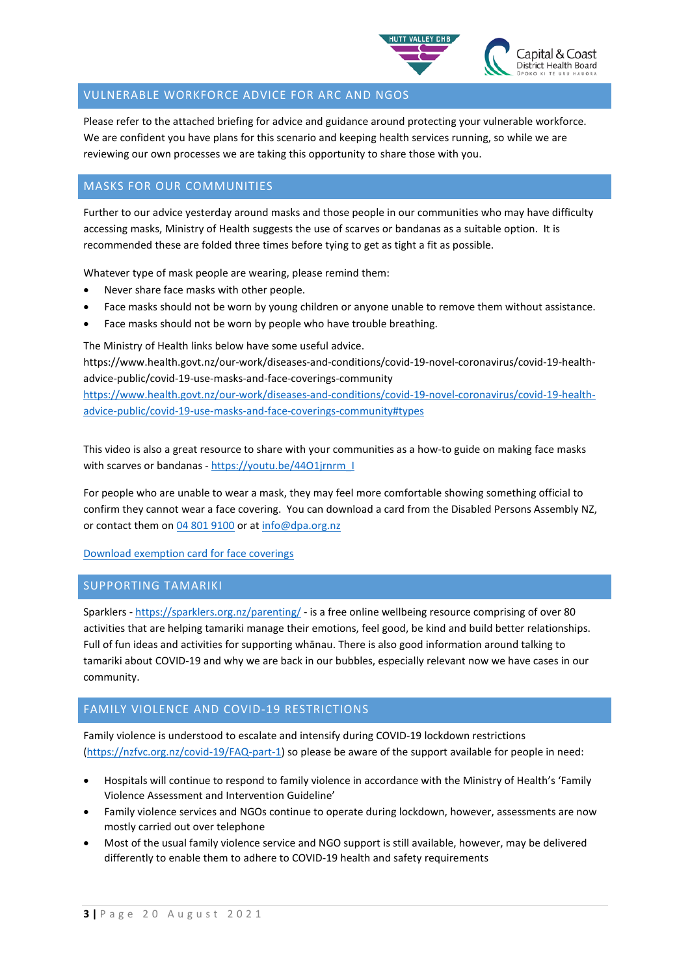

## VULNERABLE WORKFORCE ADVICE FOR ARC AND NGOS

Please refer to the attached briefing for advice and guidance around protecting your vulnerable workforce. We are confident you have plans for this scenario and keeping health services running, so while we are reviewing our own processes we are taking this opportunity to share those with you.

# MASKS FOR OUR COMMUNITIES

Further to our advice yesterday around masks and those people in our communities who may have difficulty accessing masks, Ministry of Health suggests the use of scarves or bandanas as a suitable option. It is recommended these are folded three times before tying to get as tight a fit as possible.

Whatever type of mask people are wearing, please remind them:

- Never share face masks with other people.
- Face masks should not be worn by young children or anyone unable to remove them without assistance.
- Face masks should not be worn by people who have trouble breathing.

The Ministry of Health links below have some useful advice.

https://www.health.govt.nz/our-work/diseases-and-conditions/covid-19-novel-coronavirus/covid-19-healthadvice-public/covid-19-use-masks-and-face-coverings-community

[https://www.health.govt.nz/our-work/diseases-and-conditions/covid-19-novel-coronavirus/covid-19-health](https://www.health.govt.nz/our-work/diseases-and-conditions/covid-19-novel-coronavirus/covid-19-health-advice-public/covid-19-use-masks-and-face-coverings-community#types)[advice-public/covid-19-use-masks-and-face-coverings-community#types](https://www.health.govt.nz/our-work/diseases-and-conditions/covid-19-novel-coronavirus/covid-19-health-advice-public/covid-19-use-masks-and-face-coverings-community#types)

This video is also a great resource to share with your communities as a how-to guide on making face masks with scarves or bandanas - https://youtu.be/4401jrnrm\_I

For people who are unable to wear a mask, they may feel more comfortable showing something official to confirm they cannot wear a face covering. You can download a card from the Disabled Persons Assembly NZ, or contact them on [04 801 9100](tel:048019100) or at [info@dpa.org.nz](mailto:info@dpa.org.nz)

[Download exemption card for face coverings](https://www.dpa.org.nz/resources/covid-19-information-for-the-disabled-community#exempt)

## SUPPORTING TAMARIKI

Sparklers - <https://sparklers.org.nz/parenting/> - is a free online wellbeing resource comprising of over 80 activities that are helping tamariki manage their emotions, feel good, be kind and build better relationships. Full of fun ideas and activities for supporting whānau. There is also good information around talking to tamariki about COVID-19 and why we are back in our bubbles, especially relevant now we have cases in our community.

## FAMILY VIOLENCE AND COVID-19 RESTRICTIONS

Family violence is understood to escalate and intensify during COVID-19 lockdown restrictions [\(https://nzfvc.org.nz/covid-19/FAQ-part-1\)](https://nzfvc.org.nz/covid-19/FAQ-part-1) so please be aware of the support available for people in need:

- Hospitals will continue to respond to family violence in accordance with the Ministry of Health's 'Family Violence Assessment and Intervention Guideline'
- Family violence services and NGOs continue to operate during lockdown, however, assessments are now mostly carried out over telephone
- Most of the usual family violence service and NGO support is still available, however, may be delivered differently to enable them to adhere to COVID-19 health and safety requirements